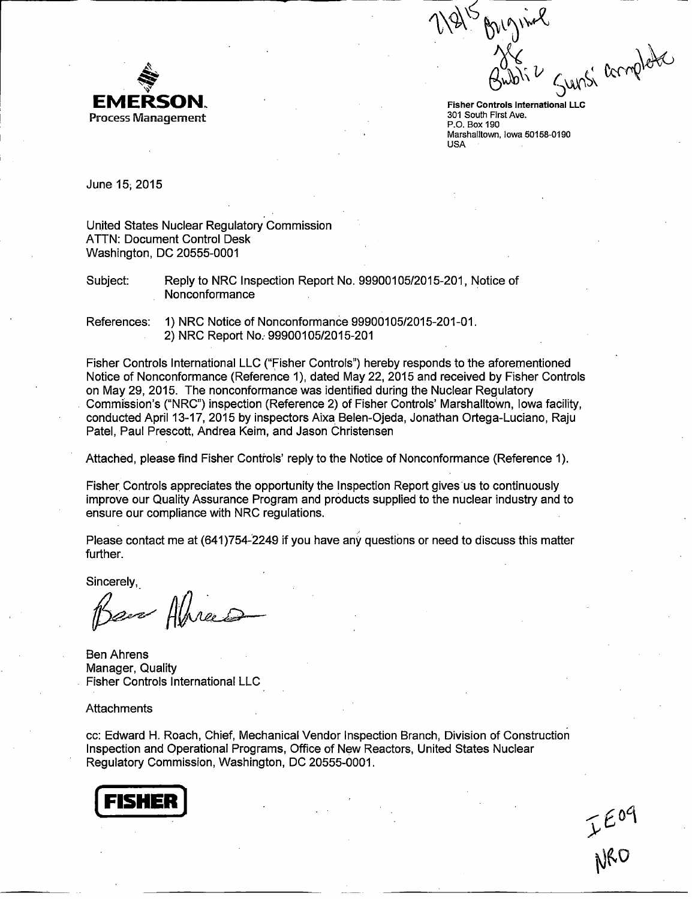

Ann EMERSON.<br>
Fisher Controls International LLC<br>
Process Management

P.O. Box 190 Marshalltown, Iowa 50158-0190 USA

June **15;** 2015

United States Nuclear Regulatory Commission ATTN: Document Control Desk Washington, DC 20555-0001

Subject: Reply to NRC Inspection Report No. 99900105/2015-201, Notice of Nonconformance

References: 1) NRC Notice of Nonconformance 99900105/2015-201-01. 2) NRC Report No.. 99900105/2015-201

Fisher Controls International LLC ("Fisher Controls") hereby responds to the aforementioned Notice of Nonconformance (Reference 1), dated May 22, 2015 and received by Fisher Controls on May 29, 2015. The nonconformance was identified during the Nuclear Regulatory Commission's ("NRC") inspection (Reference 2) of Fisher Controls' Marshalltown, Iowa facility, conducted April 13-17, 2015 by inspectors Aixa Belen-Ojeda, Jonathan Ortega-Luciano, Raju Patel, Paul Prescott, Andrea Keim, and Jason Christensen

Attached, please find Fisher Controls' reply to the Notice of Nonconformance (Reference 1).

Fisher Controls appreciates the opportunity the Inspection Report gives us to continuously improve our Quality Assurance Program and products supplied to the nuclear industry and to ensure our compliance with NRC regulations.

Please contact me at (641)754-2249 if you have any questions or need to discuss this matter further.

Sincerely,

Bare Almerts

Ben Ahrens Manager, Quality Fisher Controls International LLC

**Attachments** 

cc: Edward H. Roach, Chief, Mechanical Vendor Inspection Branch, Division of Construction Inspection and Operational Programs, Office of New Reactors, United States Nuclear Regulatory Commission, Washington, DC 20555-0001.



IEO9<br>NRO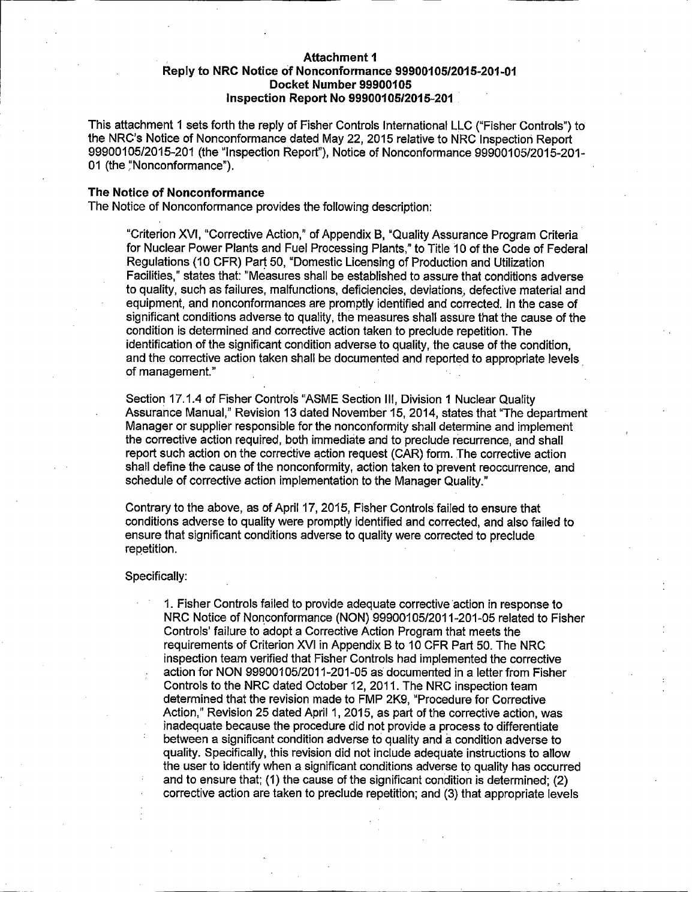# Attachment **I** Reply to NRC Notice of Nonconformance **999001051201 5-201-01** Docket Number **99900105** Inspection Report No **9990010512015-201**

This attachment 1 sets forth the reply of Fisher Controls International LLC ("Fisher Controls") to the NRC's Notice of Nonconformance dated May 22, 2015 relative to NRC Inspection Report 99900105/2015-201 (the "Inspection Report"), Notice of Nonconformance 99900105/2015-201- 01 (the "Nonconformance").

# The Notice of Nonconformance

The Notice of Nonconformance provides the following description:

"Criterion XVI, "Corrective Action," of Appendix B, "Quality Assurance Program Criteria for Nuclear Power Plants and Fuel Processing Plants," to Title 10 of the Code of Federal Regulations (10 CFR) Part 50, "Domestic Licensing of Production and Utilization Facilities," states that: "Measures shall be established to assure that conditions adverse to quality, such as failures, malfunctions, deficiencies, deviations, defective material and equipment, and nonconformances are promptly identified and corrected. In the case of significant conditions adverse to quality, the measures shall assure that the cause of the condition is determined and corrective action taken to preclude repetition. The identification of the significant condition adverse to quality, the cause of the condition, and the corrective action taken shall be documented and reported to appropriate levels of management."

Section 17.1.4 of Fisher Controls "ASME Section III, Division **1** Nuclear Quality Assurance Manual," Revision 13 dated November 15, 2014, states that "The department Manager or supplier responsible for the nonconformity shall determine and implement the corrective action required, both immediate and to preclude recurrence, and shall report such action on the corrective action request (CAR) form. The corrective action shall define the cause of the nonconformity, action taken to prevent reoccurrence, and schedule of corrective action implementation to the Manager Quality."

Contrary to the above, as of April 17, 2015, Fisher Controls failed to ensure that conditions adverse to quality were promptly identified and corrected, and also failed to ensure that significant conditions adverse to quality were corrected to preclude repetition.

#### Specifically:

1. Fisher Controls failed to provide adequate corrective action in response to NRC Notice of Nonconformance (NON) 99900105/2011-201-05 related to Fisher Controls' failure to adopt a Corrective Action Program that meets the requirements of Criterion XVI in Appendix B to 10 CFR Part 50. The NRC inspection team verified that Fisher Controls had implemented the corrective action for NON 9990010512011-201-05 as documented in a letter from Fisher Controls to the NRC dated October 12, 2011. The NRC inspection team determined that the revision made to FMP 2K9, "Procedure for Corrective Action," Revision 25 dated April 1, 2015, as part of the corrective action, was inadequate because the procedure did not provide a process to differentiate between a significant condition adverse to quality and a condition adverse to quality. Specifically, this revision did not include adequate instructions to allow the user to identify when a significant conditions adverse to quality has occurred and to ensure that; (1) the cause of the significant condition is determined; (2) corrective action are taken to preclude repetition; and (3) that appropriate levels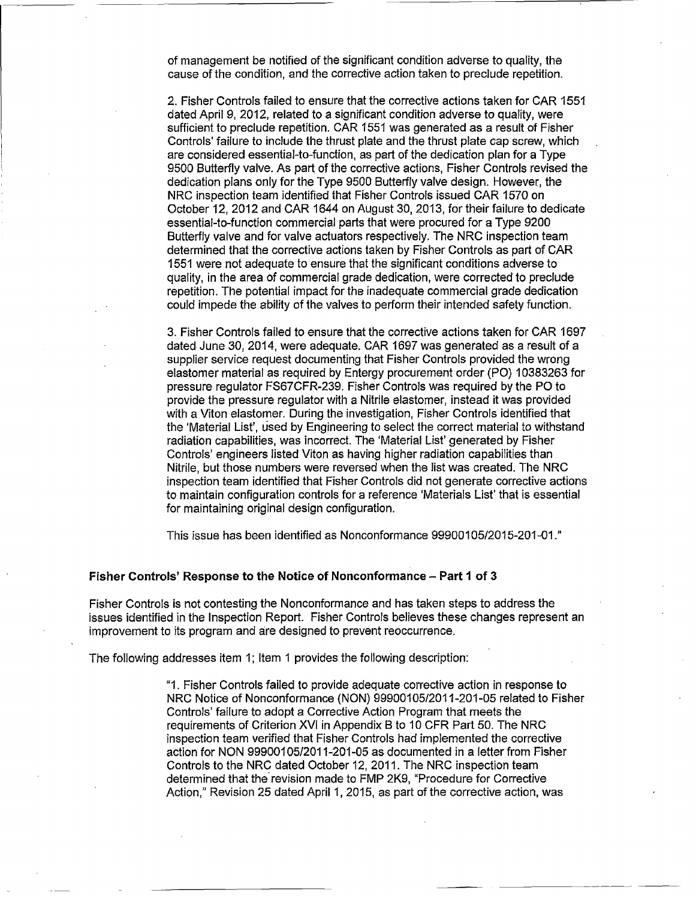of management be notified of the significant condition adverse to quality, the cause of the condition, and the corrective action taken to preclude repetition.

2. Fisher Controls failed to ensure that the corrective actions taken for CAR **1551** dated April 9, 2012, related to a significant condition adverse to quality, were sufficient to preclude repetition. CAR 1551 was generated as a result of Fisher Controls' failure to include the thrust plate and the thrust plate cap screw, which are considered essential-to-function, as part of the dedication plan for a Type 9500 Butterfly valve. As part of the corrective actions, Fisher Controls revised the dedication plans only for the Type 9500 Butterfly valve design. However, the NRC inspection team identified that Fisher Controls issued CAR 1570 on October 12, 2012 and CAR 1644 on August 30, 2013, for their failure to dedicate essential-to-function commercial parts that were procured for a Type 9200 Butterfly valve and for valve actuators respectively. The NRC inspection team determined that the corrective actions taken by Fisher Controls as part of CAR 1551 were not adequate to ensure that the significant conditions adverse to quality, in the area of commercial grade dedication, were corrected to preclude repetition. The potential impact for the inadequate commercial grade dedication could impede the ability of the valves to perform their intended safety function.

3. Fisher Controls failed to ensure that the corrective actions taken for CAR 1697 dated June 30, 2014, were adequate. CAR 1697 was generated as a result of a supplier service request documenting that Fisher Controls provided the wrong elastomer material as required by Entergy procurement order (P0) 10383263 for pressure regulator FS67CFR-239. Fisher Controls was required by the P0 to provide the pressure regulator with a Nitrile elastomer, instead it was provided with a Viton elastomer. During the investigation, Fisher Controls identified that the 'Material List', used by Engineering to select the correct material to withstand radiation capabilities, was incorrect. The 'Material List' generated by Fisher Controls' engineers listed Viton as having higher radiation capabilities than Nitrile, but those numbers were reversed when the list was created. The NRC inspection team identified that Fisher Controls did not generate corrective actions to maintain configuration controls for a reference 'Materials List' that is essential for maintaining original design configuration.

This issue has been identified as Nonconformance 99900105/2015-201-01."

## Fisher Controls' Response to the Notice of Nonconformance - Part **1** of 3

Fisher Controls is not contesting the Nonconformance and has taken steps to address the issues identified in the Inspection Report. Fisher Controls believes these changes represent an improvement to its program and are designed to prevent reoccurrence.

The following addresses item 1; Item **I** provides the following description:

"1. Fisher Controls failed to provide adequate corrective action in response to NRC Notice of Nonconformance (NON) 99900105/2011-201-05 related to Fisher Controls' failure to adopt a Corrective Action Program that meets the requirements of Criterion XVI in Appendix B to 10 CFR Part 50. The NRC inspection team verified that Fisher Controls had implemented the corrective action for NON 99900105/2011-201-05 as documented in a letter from Fisher Controls to the NRC dated October 12, 2011. The NRC inspection team determined that the revision made to FMP 2K9, "Procedure for Corrective Action," Revision 25 dated April 1, 2015, as part of the corrective action, was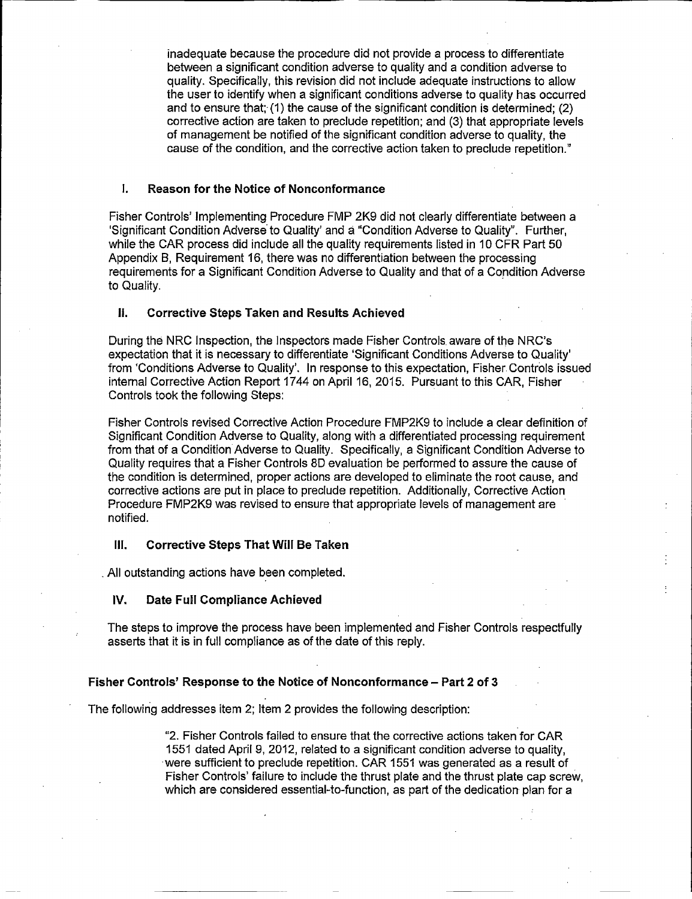inadequate because the procedure did not provide a process to differentiate between a significant condition adverse to quality and a condition adverse to quality. Specifically, this revision did not include adequate instructions to allow the user to identify when a significant conditions adverse to quality has occurred and to ensure that;- **(1)** the cause of the significant condition is determined; (2) corrective action are taken to preclude repetition; and **(3)** that appropriate levels of management be notified of the significant condition adverse to quality, the cause of the condition, and the corrective action taken to preclude repetition."

### **1.** Reason for the Notice of Nonconformance

Fisher Controls' Implementing Procedure FMP 2K9 did not clearly differentiate between a 'Significant Condition Adverse'to Quality' and;9 "Condition Adverse to Quality". Further, while the CAR process did include all the quality requirements listed in **10** CFR Part **50** Appendix B, Requirement **16,** there was no differentiation between the processing requirements for a Significant Condition Adverse to Quality and that of a Condition Adverse to Quality.

# **If.** Corrective Steps Taken and Results Achieved

During the NRC Inspection, the Inspectors made Fisher Controls. aware of the NRC's expectation that it is necessary to differentiate 'Significant Conditions Adverse to Quality' from 'Conditions Adverse to Quality'. In response to this expectation, Fisher Controls issued internal Corrective Action Report 1744 on April **16, 2015.** Pursuant to this CAR, Fisher Controls took the following Steps:

Fisher Controls revised Corrective Action Procedure FMP2K9 to include a clear definition of Significant Condition Adverse to Quality, along with a differentiated processing requirement from that of a Condition Adverse to Quality. Specifically, a Significant Condition Adverse to Quality requires that a Fisher Controls **8D** evaluation be performed to assure the cause of the condition is determined, proper actions are developed to eliminate the root cause, and corrective actions are put in place to preclude repetition. Additionally, Corrective Action Procedure FMP2K9 was revised to ensure that appropriate levels of management are notified.

#### **Ill.** Corrective Steps That Will Be Taken

**All** outstanding actions have been completed.

## IV. Date Full Compliance Achieved

The steps to improve the process have been implemented and Fisher Controls respectfully asserts that it is in full compliance as of the date of this reply.

# Fisher Controls' Response to the Notice of Nonconformance **-** Part 2 of **3**

The following addresses item 2; Item 2 provides the following description:

"2. Fisher Controls failed to ensure that the corrective actions taken for CAR **1551** dated April **9,** 2012, related to a significant condition adverse to quality, -were sufficient to preclude repetition. CAR **1551** was generated as a result of Fisher Controls' failure to include the thrust plate and the thrust plate cap screw, which are considered essential-to-function, as part of the dedication plan for a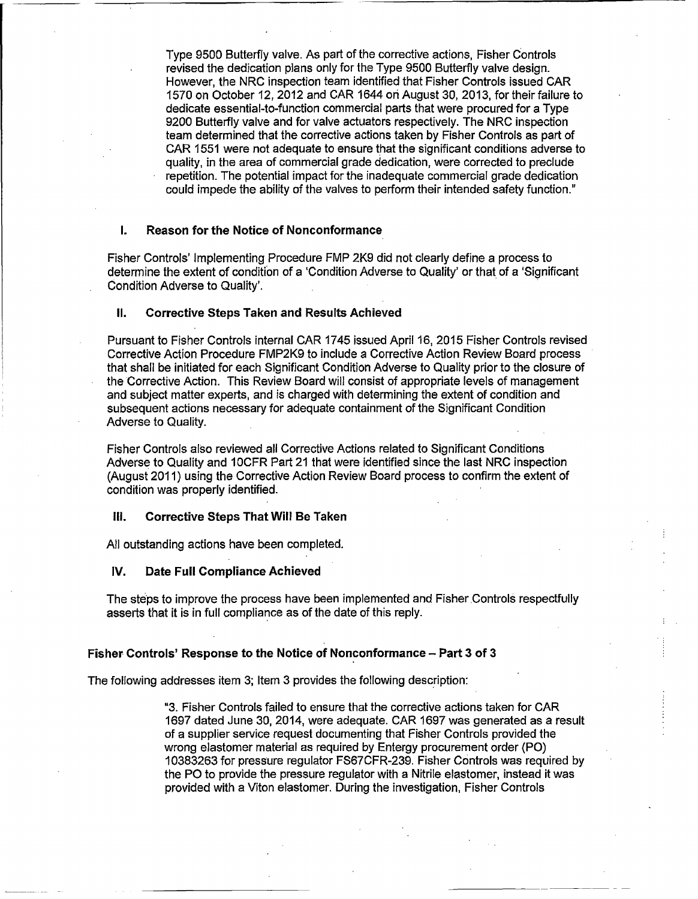Type 9500 Butterfly valve. As part of the corrective actions, Fisher Controls revised the dedication plans only for the Type 9500 Butterfly valve design. However, the NRC inspection team identified that Fisher Controls issued CAR 1570 on October 12, 2012 and CAR 1644 on August 30, 2013, for their failure to dedicate essential-to-function commercial parts that were procured for a Type 9200 Butterfly valve and for valve actuators respectively. The NRC inspection team determined that the corrective actions taken by Fisher Controls as part of CAR 1551 were not adequate to ensure that the significant conditions adverse to quality, in the area of commercial grade dedication, were corrected to preclude repetition. The potential impact for the inadequate commercial grade dedication could impede the ability of the valves to perform their intended safety function."

# I. Reason for the Notice of Nonconformance

Fisher Controls' Implementing Procedure FMP 2K9 did not clearly define a process to determine the extent of condition of a 'Condition Adverse to Quality' or that of a 'Significant Condition Adverse to Quality'.

# **I1.** Corrective Steps Taken and Results Achieved

Pursuant to Fisher Controls internal CAR 1745 issued April 16, 2015 Fisher Controls revised Corrective Action Procedure FMP2K9 to include a Corrective Action Review Board process that shall be initiated for each Significant Condition Adverse to Quality prior to the closure of the Corrective Action. This Review Board will consist of appropriate levels of management and subject matter experts, and is charged with determining the extent of condition and subsequent actions necessary for adequate containment of the Significant Condition Adverse to Quality.

Fisher Controls also reviewed all Corrective Actions related to Significant Conditions Adverse to Quality and 10CFR Part 21 that were identified since the last NRC inspection (August 2011) using the Corrective Action Review Board process to confirm the extent of condition was properly identified.

#### **Ill.** Corrective Steps That Will Be Taken

All outstanding actions have been completed.

#### IV. Date Full Compliance Achieved

The steps to improve the process have been implemented and Fisher Controls respectfully asserts that it is in full compliance as of the date of this reply.

#### Fisher Controls' Response to the Notice of Nonconformance - Part **3** of **3**

The following addresses item 3; Item 3 provides the following description:

**"3.** Fisher Controls failed to ensure that the corrective actions taken for CAR 1697 dated June 30, 2014, were adequate. CAR 1697 was generated as a result of a supplier service request documenting that Fisher Controls provided the wrong elastomer material as required by Entergy procurement order (P0) 10383263 for pressure regulator FS67CFR-239. Fisher Controls was required by the PO to provide the pressure regulator with a Nitrile elastomer, instead it was provided with a Viton elastomer. During the investigation, Fisher Controls